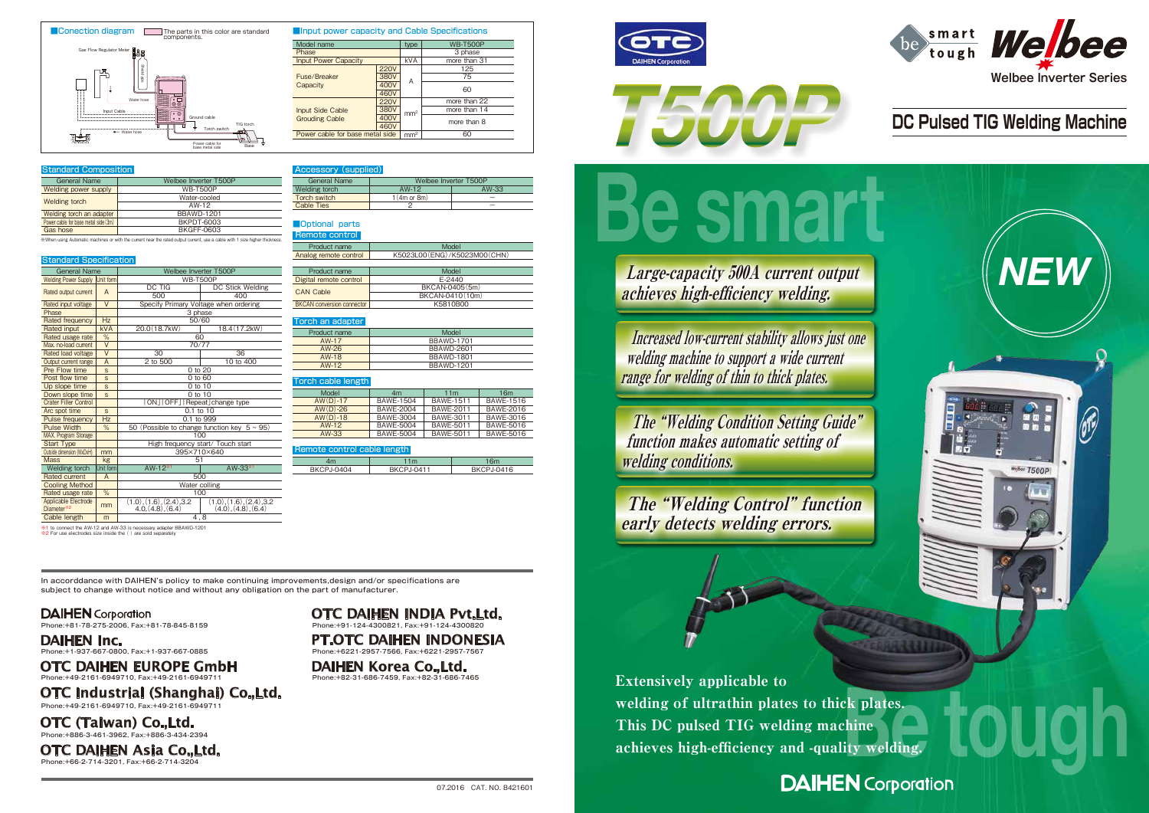

※1 to connect the AW-12 and AW-33 is necessary adapter BBAWD-1201 ※2 For use electrodes size inside the ( ) are sold separately

This DC pulsed TIG welding machine



# **DC Pulsed TIG Welding Machine**



In accorddance with DAIHEN's policy to make continuing improvements,design and/or specifications are subject to change without notice and without any obligation on the part of manufacturer.

### **DAIHEN** Corporation

Phone:+81-78-275-2006, Fax:+81-78-845-8159

Phone:+1-937-667-0800, Fax:+1-937-667-0885 **DAIHEN Inc.**

> Phone:+82-31-686-7459, Fax:+82-31-686-7465 **DAIHEN Korea Co.,Ltd.**



### Phone:+49-2161-6949710, Fax:+49-2161-6949711 **OTC DAIHEN EUROPE GmbH**

Phone:+91-124-4300821, Fax:+91-124-4300820 **OTC DAIHEN INDIA Pvt.Ltd.**

Phone:+6221-2957-7566, Fax:+6221-2957-7567 **PT.OTC DAIHEN INDONESIA**

Phone:+66-2-714-3201, Fax:+66-2-714-3204 **OTC DAIHEN Asia Co.,Ltd.**

Phone:+49-2161-6949710, Fax:+49-2161-6949711

**OTC Industrial (Shanghai) Co.,Ltd.**

Phone:+886-3-461-3962, Fax:+886-3-434-2394 **OTC (Taiwan) Co.,Ltd.**

※When using Automatic machines or with the current near the rated output current, use a cable with 1 size higher thickness.

| <b>General Name</b>          |            | Welbee Inverter T500P                             |                                                     |  |
|------------------------------|------------|---------------------------------------------------|-----------------------------------------------------|--|
| <b>Welding Power Supply</b>  | Unit form  | <b>WB-T500P</b>                                   |                                                     |  |
|                              | A          | DC TIG                                            | DC Stick Welding                                    |  |
| Rated output current         |            | 500                                               | 400                                                 |  |
| Rated input voltage          | $\vee$     |                                                   | Specify Primary Voltage when ordering               |  |
| Phase                        |            |                                                   | 3 phase                                             |  |
| Rated frequency              | Hz         |                                                   | 50/60                                               |  |
| Rated input                  | <b>kVA</b> | 20.0(18.7kW)                                      | 18.4 (17.2kW)                                       |  |
| Rated usage rate             | %          | 60                                                |                                                     |  |
| Max. no-load current         | $\vee$     |                                                   | 70/77                                               |  |
| Rated load voltage           | $\vee$     | 30                                                | 36                                                  |  |
| Output current range         | A          | 2 to 500                                          | 10 to 400                                           |  |
| Pre Flow time                | S          | 0 to 20                                           |                                                     |  |
| Post flow time               | S          | 0 to 60                                           |                                                     |  |
| Up slope time                | S          | 0 to 10                                           |                                                     |  |
| Down slope time              | S          | 0 to 10                                           |                                                     |  |
| <b>Crater Filler Control</b> |            | [ON][OFF][Repeat]change type                      |                                                     |  |
| Arc spot time                | S          | $0.1$ to $10$                                     |                                                     |  |
| <b>Pulse frequency</b>       | Hz         | 0.1 to 999                                        |                                                     |  |
| <b>Pulse Width</b>           | $\%$       | 50 (Possible to change function key $5 \sim 95$ ) |                                                     |  |
| <b>MAX. Program Storage</b>  |            |                                                   | 100                                                 |  |
| <b>Start Type</b>            |            |                                                   | High frequency start/ Touch start                   |  |
| Outside dimension (WxDxH)    | mm         | 395×710×640                                       |                                                     |  |
| <b>Mass</b>                  | kg         | 51                                                |                                                     |  |
| Welding torch                | Unit form  | AW-12 <sup>*1</sup><br>AW-33 <sup>*1</sup>        |                                                     |  |
| <b>Rated current</b>         | A          | 500                                               |                                                     |  |
| <b>Cooling Method</b>        |            | Water colling                                     |                                                     |  |
| Rated usage rate             | $\%$       | 100                                               |                                                     |  |
| Applicable Electrode         | mm         | $(1.0), (1.6), (2.4), 3.2$<br>$4.0, (4.8), (6.4)$ | $(1.0), (1.6), (2.4), 3.2$<br>$(4.0), (4.8), (6.4)$ |  |
| Diameter <sup>*2</sup>       |            |                                                   |                                                     |  |
| Cable length                 | m          | 4,8                                               |                                                     |  |

welding machine to support a wide current range for welding of thin to thick plates.

The "Welding Condition Setting Guide" function makes automatic setting of welding conditions.

|                               | Product name          | Mode                            |
|-------------------------------|-----------------------|---------------------------------|
|                               | Analog remote control | K5023L00 (ENG) / K5023M00 (CHN) |
| <b>Standard Specification</b> |                       |                                 |

| Product name                      | Model           |  |
|-----------------------------------|-----------------|--|
| Digital remote control            | $F-2440$        |  |
| <b>CAN Cable</b>                  | BKCAN-0405(5m)  |  |
|                                   | BKCAN-0410(10m) |  |
| <b>BKCAN</b> conversion connector | K5810B00        |  |

### ■Optional parts

|                   |            | 6m         |  |
|-------------------|------------|------------|--|
| <b>BKCPJ-0404</b> | BKCPJ-0411 | BKCPJ-0416 |  |

### Torch an adapter

| <b>General Name</b>                  | Welbee Inverter T500P |
|--------------------------------------|-----------------------|
| Welding power supply                 | <b>WB-T500P</b>       |
|                                      | Water-cooled          |
| Welding torch                        | AW-12                 |
| Welding torch an adapter             | <b>BBAWD-1201</b>     |
| Power cable for base metal side (3m) | BKPDT-6003            |
| Gas hose                             | BKGFF-0603            |

| <b>Input power capacity and Cable Specifications</b> |             |                 |                 |
|------------------------------------------------------|-------------|-----------------|-----------------|
| Model name                                           |             | type            | <b>WB-T500P</b> |
| Phase                                                |             |                 | 3 phase         |
| <b>Input Power Capacity</b>                          |             | <b>kVA</b>      | more than 31    |
|                                                      | <b>220V</b> |                 | 125             |
| Fuse/Breaker                                         | <b>380V</b> | A               | 75              |
| Capacity                                             | 400V        |                 |                 |
|                                                      | 460V        |                 | 60              |
|                                                      | <b>220V</b> |                 | more than 22    |
| <b>Input Side Cable</b>                              | <b>380V</b> | mm <sup>2</sup> | more than 14    |
| <b>Grouding Cable</b>                                | 400V        |                 | more than 8     |
|                                                      | 460V        |                 |                 |
| Power cable for base metal side                      |             | mm <sup>2</sup> | 60              |

| Product name | Model             |
|--------------|-------------------|
| AW-17        | <b>BBAWD-1701</b> |
| $AW-26$      | <b>BBAWD-2601</b> |
| AW-18        | <b>BBAWD-1801</b> |
| $AW-12$      | <b>BBAWD-1201</b> |

### orch cable lengtl

| Model      | 4m               | 11 <sub>m</sub>  | 16 <sub>m</sub>  |
|------------|------------------|------------------|------------------|
| $AW(D)-17$ | <b>BAWE-1504</b> | <b>BAWE-1511</b> | <b>BAWE-1516</b> |
| $AW(D)-26$ | <b>BAWE-2004</b> | <b>BAWE-2011</b> | BAWE-2016        |
| $AW(D)-18$ | <b>BAWE-3004</b> | <b>BAWE-3011</b> | <b>BAWE-3016</b> |
| $AW-12$    | <b>BAWE-5004</b> | <b>BAWE-5011</b> | <b>BAWE-5016</b> |
| $AW-33$    | <b>BAWE-5004</b> | <b>BAWE-5011</b> | <b>BAWE-5016</b> |

### e control cable lengt



### Standard Composition

achieves high-efficiency welding.

The "Welding Control" function early detects welding errors.

| General Name      |                  | Welbee Inverter T500P |  |  |
|-------------------|------------------|-----------------------|--|--|
| Welding torch     | $AW-33$<br>AW-12 |                       |  |  |
| Torch switch      | 1(4m or 8m)      |                       |  |  |
| <b>Cable Ties</b> |                  |                       |  |  |

### Accessory (supplied)



| Remote control |  |
|----------------|--|
| Droduot nono   |  |